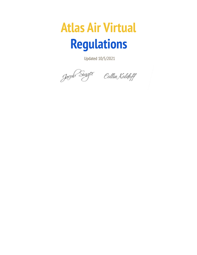## **Atlas Air Virtual Regulations**

Updated 10/5/2021

Joger Singer Collin Koldoff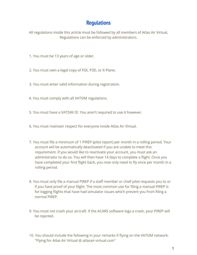## **Regulations**

All regulations inside this article must be followed by all members of Atlas Air Virtual, Regulations can be enforced by administrators.

- 1. You must be 13 years of age or older.
- 2. You must own a legal copy of FSX, P3D, or X-Plane.
- 3. You must enter valid information during registration.
- 4. You must comply with all VATSIM regulations.
- 5. You must have a VATSIM ID. You aren't required to use it however.
- 6. You must maintain respect for everyone inside Atlas Air Virtual.
- 7. You must file a minimum of 1 PIREP (pilot report) per month in a rolling period. Your account will be automatically deactivated if you are unable to meet this requirement. If you would like to reactivate your account, you must ask an administrator to do so. You will then have 14 days to complete a flight. Once you have completed your first flight back, you now only need to fly once per month in a rolling period.
- 8. You must only file a manual PIREP if a staff member or chief pilot requests you to or if you have proof of your flight. The most common use for filing a manual PIREP is for logging flights that have had simulator issues which prevent you from filing a normal PIREP.
- 9. You must not crash your aircraft. If the ACARS software logs a crash, your PIREP will be rejected.
- 10. You should include the following in your remarks if flying on the VATSIM network: "Flying for Atlas Air Virtual @ atlasair-virtual.com"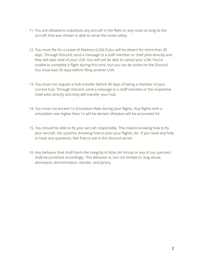- 11. You are allowed to substitute any aircraft in the fleet on any route as long as the aircraft that was chosen is able to serve the route safely.
- 12. You must file for a Leave of Absence (LOA) if you will be absent for more than 30 days. Through Discord, send a message to a staff member or chief pilot directly and they will take note of your LOA. You will not be able to cancel your LOA. You're unable to complete a flight during this time, but you can be active on the Discord. You must wait 30 days before filing another LOA.
- 13. You must not request a hub transfer before 90 days of being a member of your current hub. Through Discord, send a message to a staff member or the respective chief pilot directly and they will transfer your hub.
- 14. You must not exceed 1x Simulation Rate during your flights. Any flights with a simulation rate higher than 1x will be denied. Mistakes will be accounted for.
- 15. You should be able to fly your aircraft responsibly. This means knowing how to fly your aircraft, the systems, knowing how to plan your flights, etc. If you need any help or have any questions, feel free to ask in the Discord server.
- 16. Any behavior that shall harm the integrity of Atlas Air Virtual or any of our partners shall be punished accordingly. This behavior is, but not limited to, bug abuse, disrespect, discrimination, slander, and piracy.